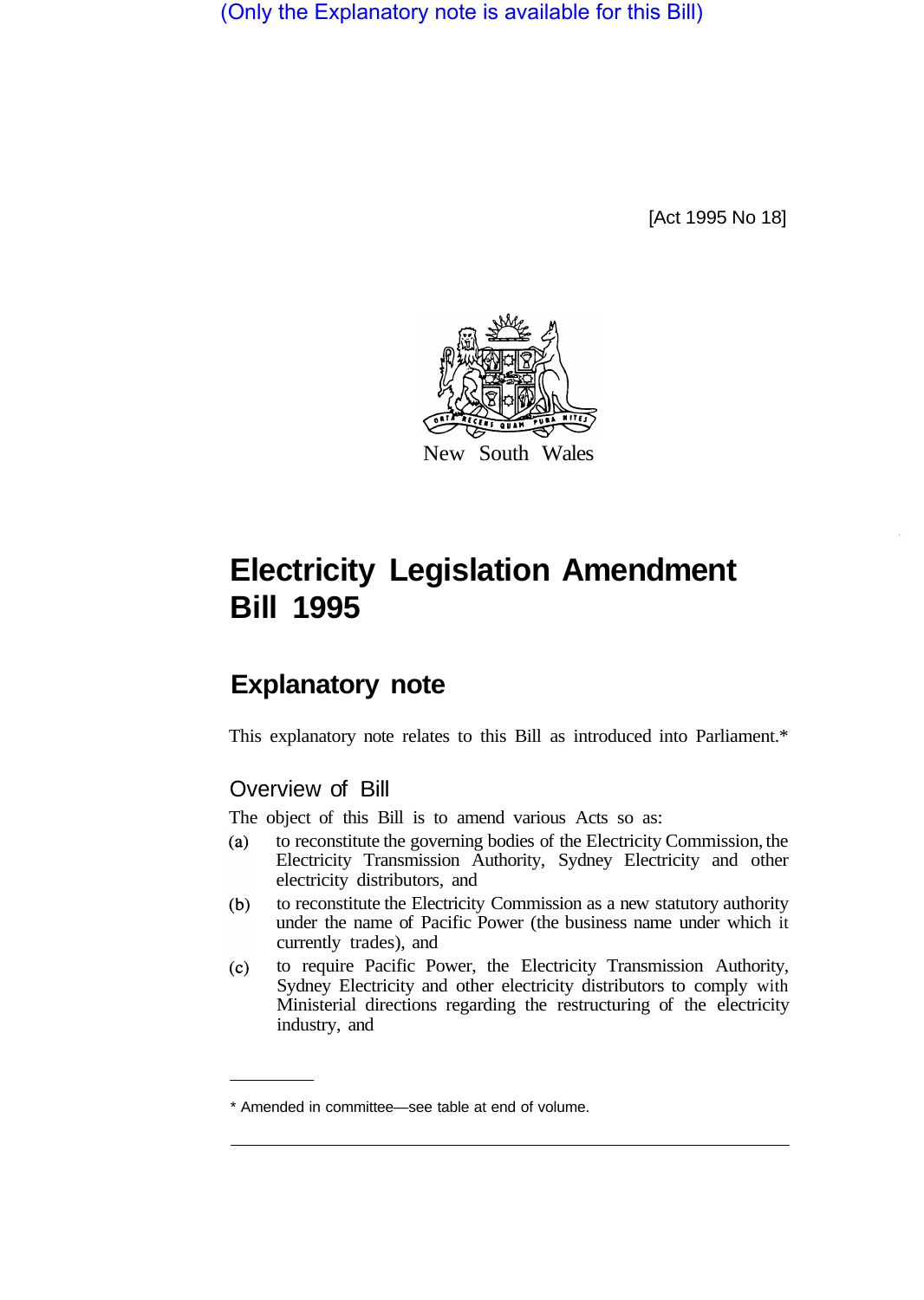(Only the Explanatory note is available for this Bill)

[Act 1995 No 18]



# **Electricity Legislation Amendment Bill 1995**

## **Explanatory note**

This explanatory note relates to this Bill as introduced into Parliament.\*

## Overview of Bill

The object of this Bill is to amend various Acts so as:

- $(a)$ to reconstitute the governing bodies of the Electricity Commission, the Electricity Transmission Authority, Sydney Electricity and other electricity distributors, and
- to reconstitute the Electricity Commission as a new statutory authority  $(b)$ under the name of Pacific Power (the business name under which it currently trades), and
- to require Pacific Power, the Electricity Transmission Authority,  $(c)$ Sydney Electricity and other electricity distributors to comply with Ministerial directions regarding the restructuring of the electricity industry, and

<sup>\*</sup> Amended in committee—see table at end of volume.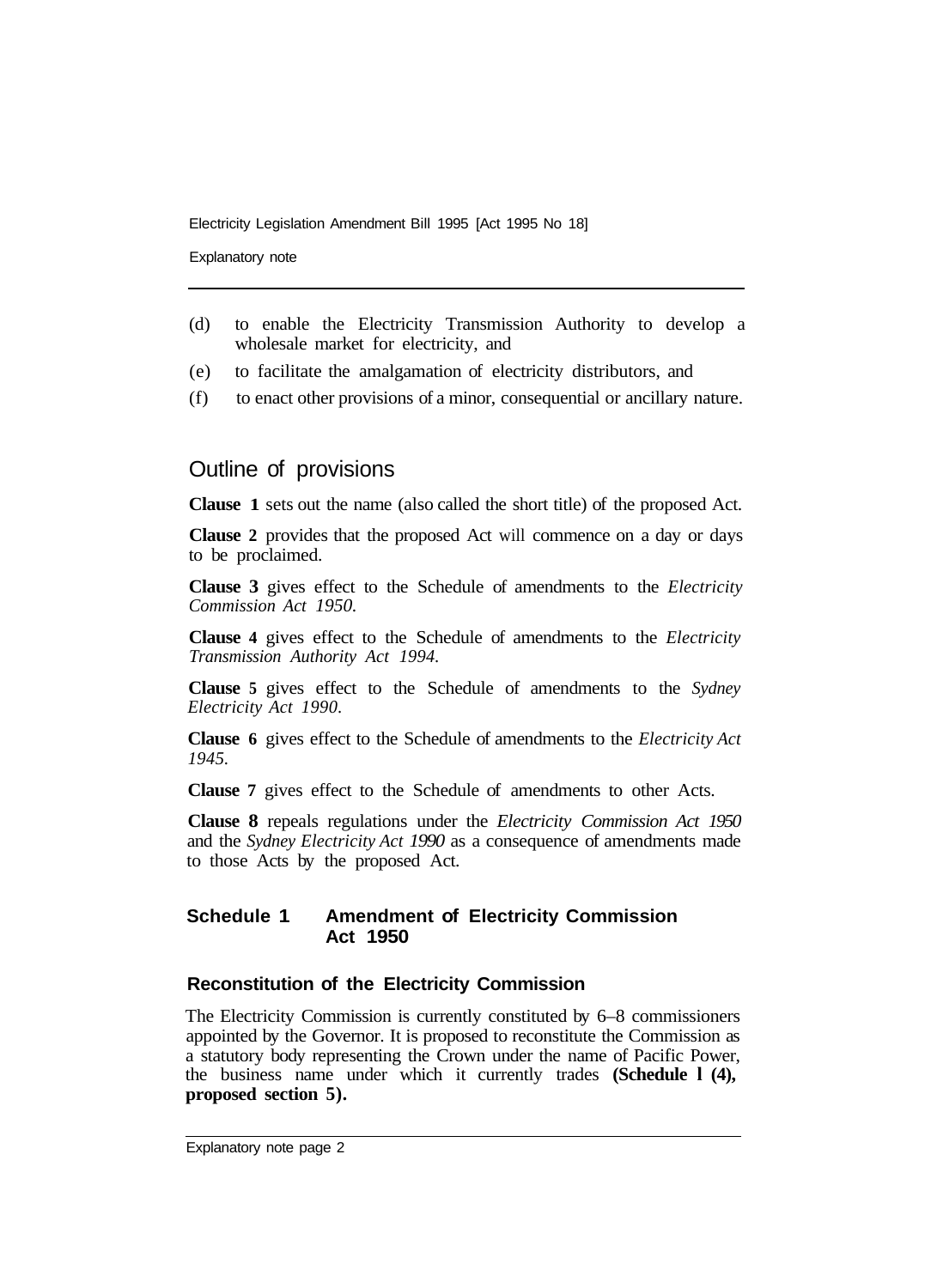Explanatory note

- (d) to enable the Electricity Transmission Authority to develop a wholesale market for electricity, and
- (e) to facilitate the amalgamation of electricity distributors, and
- (f) to enact other provisions of a minor, consequential or ancillary nature.

## Outline of provisions

**Clause 1** sets out the name (also called the short title) of the proposed Act.

**Clause 2** provides that the proposed Act will commence on a day or days to be proclaimed.

**Clause 3** gives effect to the Schedule of amendments to the *Electricity Commission Act 1950.* 

**Clause 4** gives effect to the Schedule of amendments to the *Electricity Transmission Authority Act 1994.* 

**Clause 5** gives effect to the Schedule of amendments to the *Sydney Electricity Act 1990.* 

**Clause 6** gives effect to the Schedule of amendments to the *Electricity Act 1945.* 

**Clause 7** gives effect to the Schedule of amendments to other Acts.

**Clause 8** repeals regulations under the *Electricity Commission Act 1950*  and the *Sydney Electricity Act 1990* as a consequence of amendments made to those Acts by the proposed Act.

## **Schedule 1 Amendment of Electricity Commission Act 1950**

## **Reconstitution of the Electricity Commission**

The Electricity Commission is currently constituted by 6–8 commissioners appointed by the Governor. It is proposed to reconstitute the Commission as a statutory body representing the Crown under the name of Pacific Power, the business name under which it currently trades **(Schedule l (4), proposed section 5).**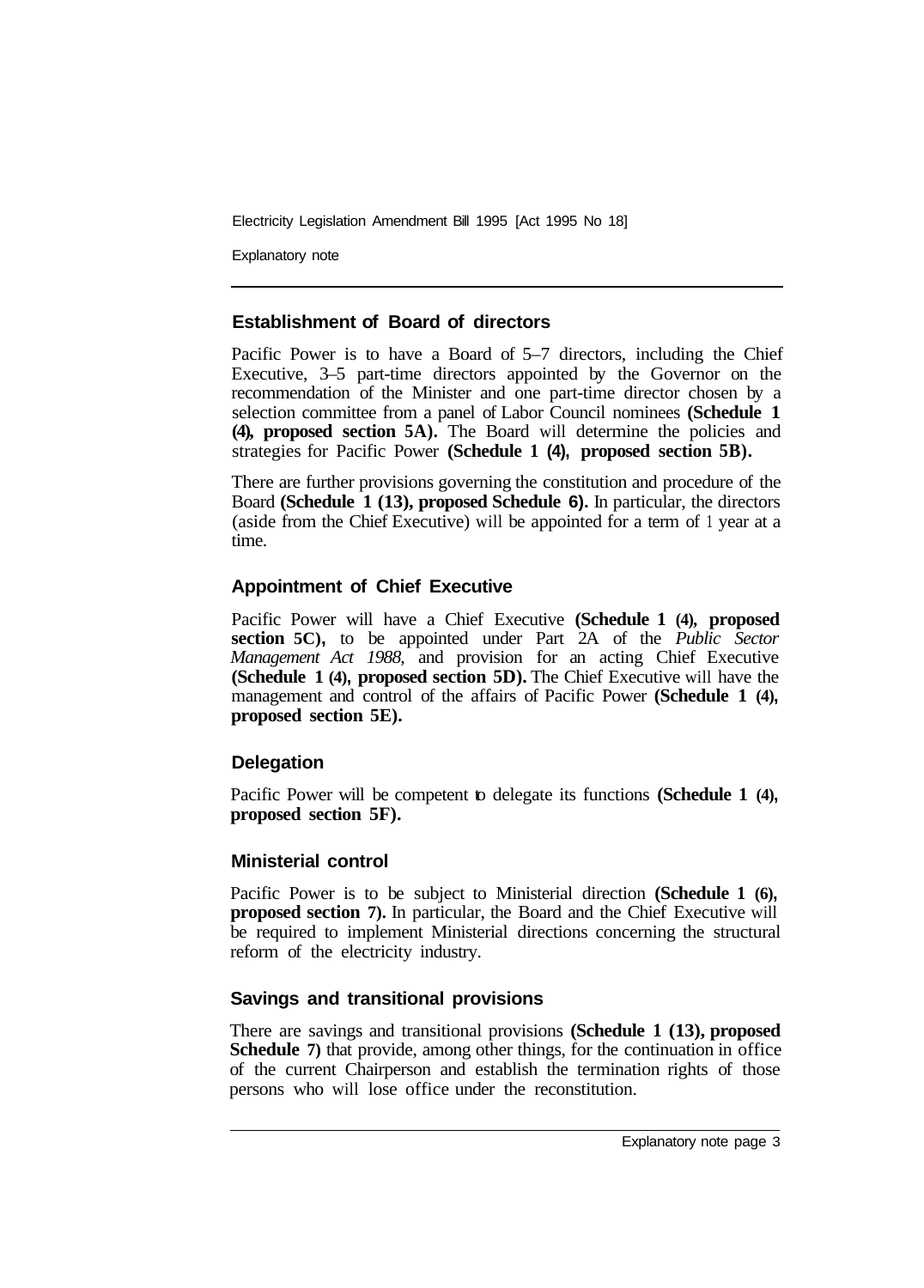Explanatory note

## **Establishment of Board of directors**

Pacific Power is to have a Board of 5–7 directors, including the Chief Executive, 3–5 part-time directors appointed by the Governor on the recommendation of the Minister and one part-time director chosen by a selection committee from a panel of Labor Council nominees **(Schedule 1 (4), proposed section 5A).** The Board will determine the policies and strategies for Pacific Power **(Schedule 1 (4), proposed section 5B).** 

There are further provisions governing the constitution and procedure of the Board **(Schedule 1 (13), proposed Schedule 6).** In particular, the directors (aside from the Chief Executive) will be appointed for a term of 1 year at a time.

## **Appointment of Chief Executive**

Pacific Power will have a Chief Executive **(Schedule 1 (4), proposed section 5C),** to be appointed under Part 2A of the *Public Sector Management Act 1988,* and provision for an acting Chief Executive **(Schedule 1 (4), proposed section 5D).** The Chief Executive will have the management and control of the affairs of Pacific Power **(Schedule 1 (4), proposed section 5E).**

#### **Delegation**

Pacific Power will be competent to delegate its functions **(Schedule 1 (4), proposed section 5F).** 

#### **Ministerial control**

Pacific Power is to be subject to Ministerial direction **(Schedule 1 (6), proposed section 7).** In particular, the Board and the Chief Executive will be required to implement Ministerial directions concerning the structural reform of the electricity industry.

#### **Savings and transitional provisions**

There are savings and transitional provisions **(Schedule 1 (13), proposed Schedule 7)** that provide, among other things, for the continuation in office of the current Chairperson and establish the termination rights of those persons who will lose office under the reconstitution.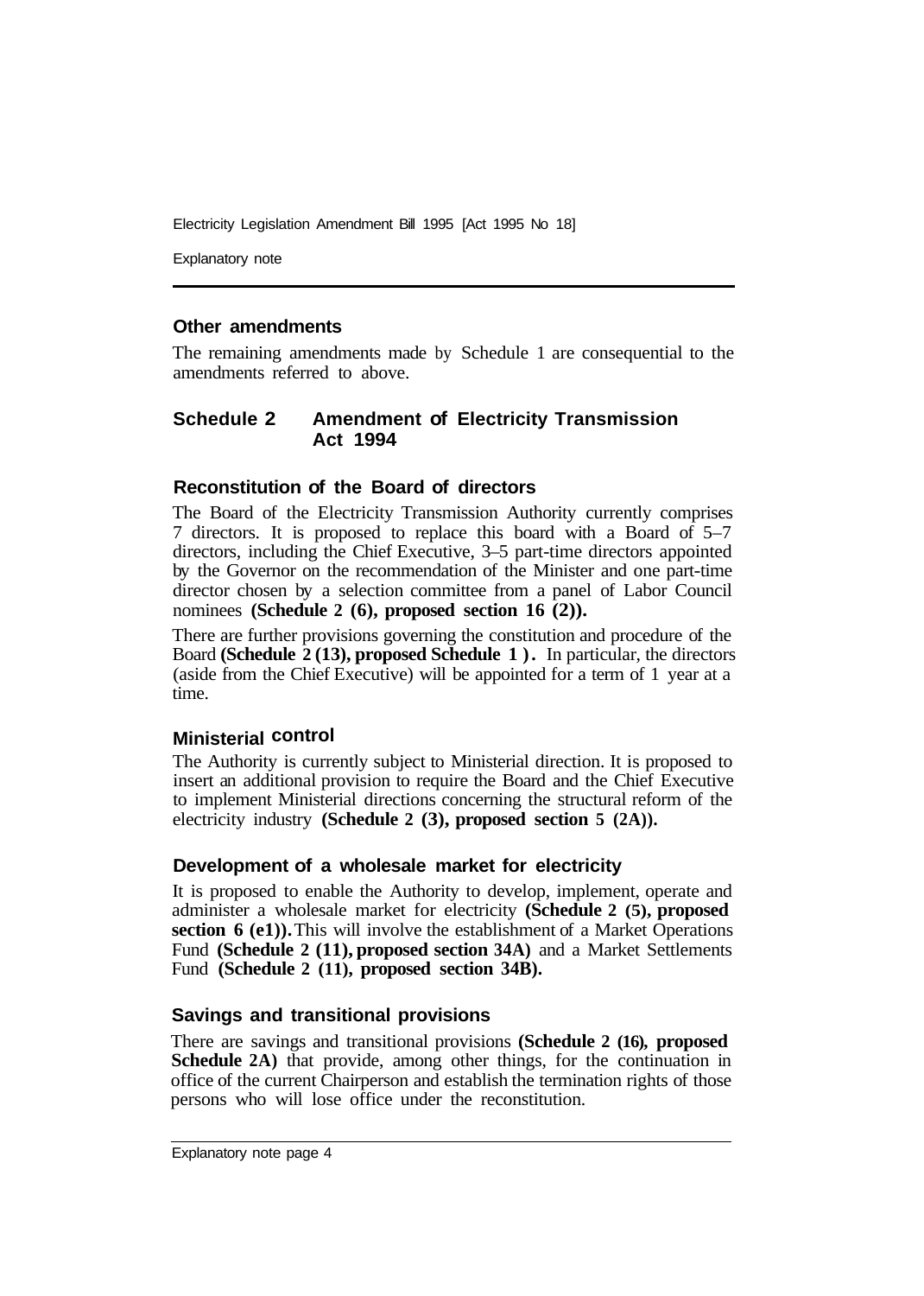Explanatory note

#### **Other amendments**

The remaining amendments made by Schedule 1 are consequential to the amendments referred to above.

#### **Schedule 2 Amendment of Electricity Transmission Act 1994**

#### **Reconstitution of the Board of directors**

The Board of the Electricity Transmission Authority currently comprises 7 directors. It is proposed to replace this board with a Board of 5–7 directors, including the Chief Executive, 3–5 part-time directors appointed by the Governor on the recommendation of the Minister and one part-time director chosen by a selection committee from a panel of Labor Council nominees **(Schedule 2 (6), proposed section 16 (2)).** 

There are further provisions governing the constitution and procedure of the Board **(Schedule 2 (13), proposed Schedule 1 ) .** In particular, the directors (aside from the Chief Executive) will be appointed for a term of 1 year at a time.

#### **Ministerial control**

The Authority is currently subject to Ministerial direction. It is proposed to insert an additional provision to require the Board and the Chief Executive to implement Ministerial directions concerning the structural reform of the electricity industry **(Schedule 2 (3), proposed section 5 (2A)).** 

#### **Development of a wholesale market for electricity**

It is proposed to enable the Authority to develop, implement, operate and administer a wholesale market for electricity **(Schedule 2 (5), proposed section 6 (e1)).** This will involve the establishment of a Market Operations Fund **(Schedule 2 (11), proposed section 34A)** and a Market Settlements Fund **(Schedule 2 (11), proposed section 34B).** 

#### **Savings and transitional provisions**

There are savings and transitional provisions **(Schedule 2 (16), proposed Schedule 2A)** that provide, among other things, for the continuation in office of the current Chairperson and establish the termination rights of those persons who will lose office under the reconstitution.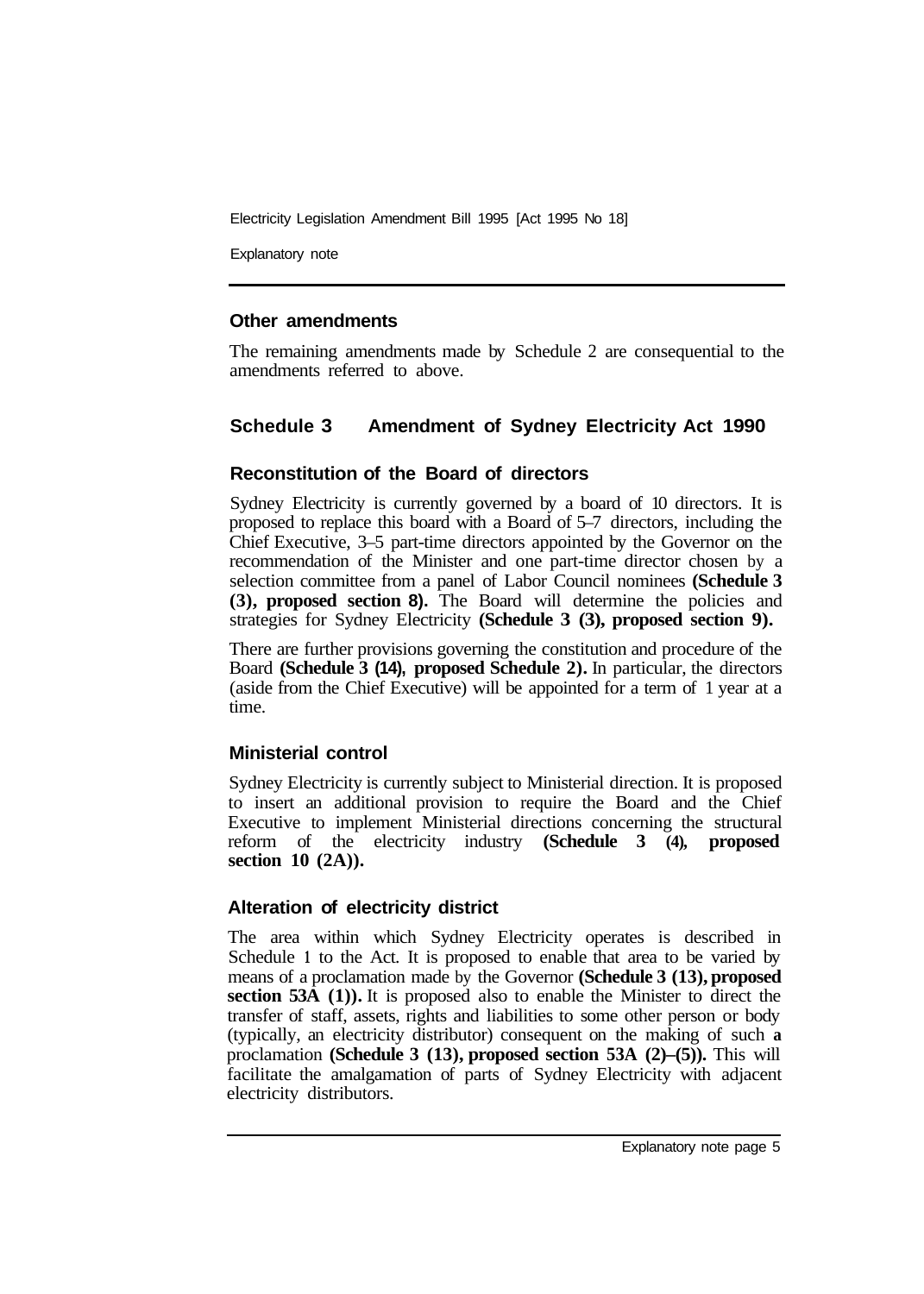Explanatory note

#### **Other amendments**

The remaining amendments made by Schedule 2 are consequential to the amendments referred to above.

#### **Schedule 3 Amendment of Sydney Electricity Act 1990**

#### **Reconstitution of the Board of directors**

Sydney Electricity is currently governed by a board of 10 directors. It is proposed to replace this board with a Board of 5–7 directors, including the Chief Executive, 3–5 part-time directors appointed by the Governor on the recommendation of the Minister and one part-time director chosen by a selection committee from a panel of Labor Council nominees **(Schedule 3 (3), proposed section 8).** The Board will determine the policies and strategies for Sydney Electricity **(Schedule 3 (3), proposed section 9).** 

There are further provisions governing the constitution and procedure of the Board **(Schedule 3 (14), proposed Schedule 2).** In particular, the directors (aside from the Chief Executive) will be appointed for a term of 1 year at a time.

#### **Ministerial control**

Sydney Electricity is currently subject to Ministerial direction. It is proposed to insert an additional provision to require the Board and the Chief Executive to implement Ministerial directions concerning the structural reform of the electricity industry **(Schedule 3 (4), proposed section 10 (2A)).** 

## **Alteration of electricity district**

The area within which Sydney Electricity operates is described in Schedule **1** to the Act. It is proposed to enable that area to be varied by means of a proclamation made by the Governor **(Schedule 3 (13), proposed section 53A (1)).** It is proposed also to enable the Minister to direct the transfer of staff, assets, rights and liabilities to some other person or body (typically, an electricity distributor) consequent on the making of such **a**  proclamation **(Schedule 3 (13), proposed section 53A (2)–(5)).** This will facilitate the amalgamation of parts of Sydney Electricity with adjacent electricity distributors.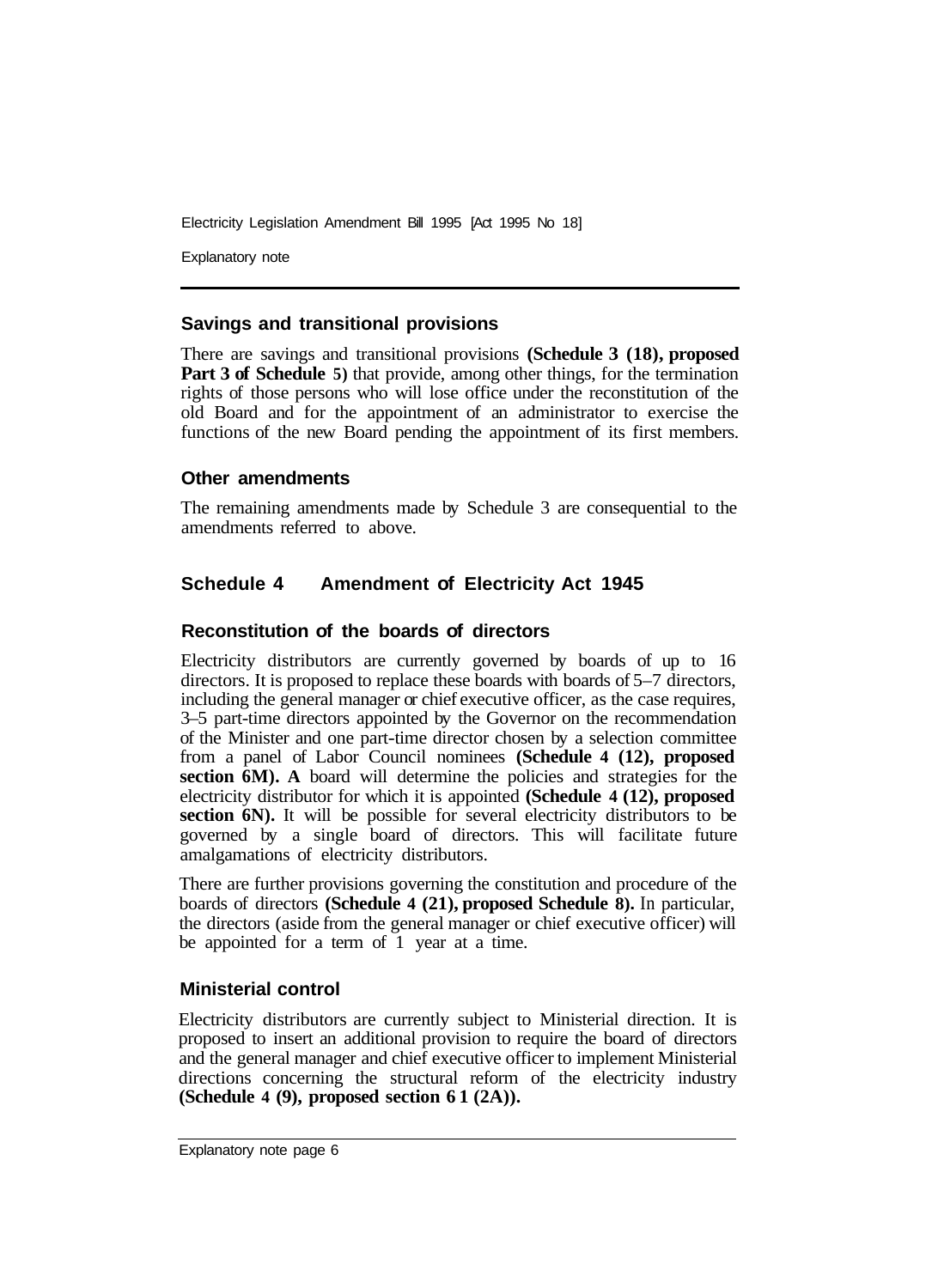Explanatory note

#### **Savings and transitional provisions**

There are savings and transitional provisions **(Schedule 3 (18), proposed Part 3 of Schedule 5**) that provide, among other things, for the termination rights of those persons who will lose office under the reconstitution of the old Board and for the appointment of an administrator to exercise the functions of the new Board pending the appointment of its first members.

#### **Other amendments**

The remaining amendments made by Schedule 3 are consequential to the amendments referred to above.

## **Schedule 4 Amendment of Electricity Act 1945**

## **Reconstitution of the boards of directors**

Electricity distributors are currently governed by boards of up to 16 directors. It is proposed to replace these boards with boards of 5–7 directors, including the general manager or chief executive officer, as the case requires, 3–5 part-time directors appointed by the Governor on the recommendation of the Minister and one part-time director chosen by a selection committee from a panel of Labor Council nominees **(Schedule 4 (12), proposed section 6M). A** board will determine the policies and strategies for the electricity distributor for which it is appointed **(Schedule 4 (12), proposed section 6N).** It will be possible for several electricity distributors to be governed by a single board of directors. This will facilitate future amalgamations of electricity distributors.

There are further provisions governing the constitution and procedure of the boards of directors **(Schedule 4 (21), proposed Schedule 8).** In particular, the directors (aside from the general manager or chief executive officer) will be appointed for a term of 1 year at a time.

## **Ministerial control**

Electricity distributors are currently subject to Ministerial direction. It is proposed to insert an additional provision to require the board of directors and the general manager and chief executive officer to implement Ministerial directions concerning the structural reform of the electricity industry **(Schedule 4 (9), proposed section 61 (2A)).**